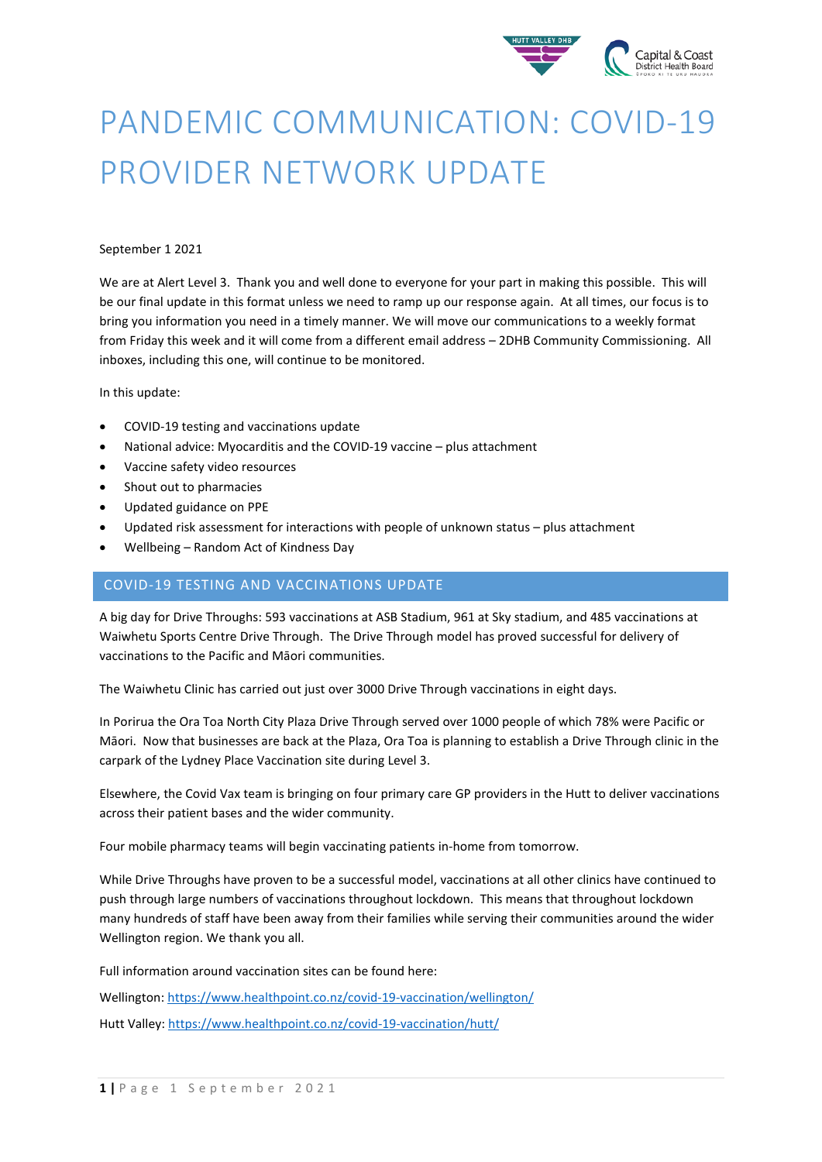

# PANDEMIC COMMUNICATION: COVID-19 PROVIDER NETWORK UPDATE

#### September 1 2021

We are at Alert Level 3. Thank you and well done to everyone for your part in making this possible. This will be our final update in this format unless we need to ramp up our response again. At all times, our focus is to bring you information you need in a timely manner. We will move our communications to a weekly format from Friday this week and it will come from a different email address – 2DHB Community Commissioning. All inboxes, including this one, will continue to be monitored.

In this update:

- COVID-19 testing and vaccinations update
- National advice: Myocarditis and the COVID-19 vaccine plus attachment
- Vaccine safety video resources
- Shout out to pharmacies
- Updated guidance on PPE
- Updated risk assessment for interactions with people of unknown status plus attachment
- Wellbeing Random Act of Kindness Day

#### COVID-19 TESTING AND VACCINATIONS UPDATE

A big day for Drive Throughs: 593 vaccinations at ASB Stadium, 961 at Sky stadium, and 485 vaccinations at Waiwhetu Sports Centre Drive Through. The Drive Through model has proved successful for delivery of vaccinations to the Pacific and Māori communities.

The Waiwhetu Clinic has carried out just over 3000 Drive Through vaccinations in eight days.

In Porirua the Ora Toa North City Plaza Drive Through served over 1000 people of which 78% were Pacific or Māori. Now that businesses are back at the Plaza, Ora Toa is planning to establish a Drive Through clinic in the carpark of the Lydney Place Vaccination site during Level 3.

Elsewhere, the Covid Vax team is bringing on four primary care GP providers in the Hutt to deliver vaccinations across their patient bases and the wider community.

Four mobile pharmacy teams will begin vaccinating patients in-home from tomorrow.

While Drive Throughs have proven to be a successful model, vaccinations at all other clinics have continued to push through large numbers of vaccinations throughout lockdown. This means that throughout lockdown many hundreds of staff have been away from their families while serving their communities around the wider Wellington region. We thank you all.

Full information around vaccination sites can be found here:

Wellington[: https://www.healthpoint.co.nz/covid-19-vaccination/wellington/](https://www.healthpoint.co.nz/covid-19-vaccination/wellington/) Hutt Valley:<https://www.healthpoint.co.nz/covid-19-vaccination/hutt/>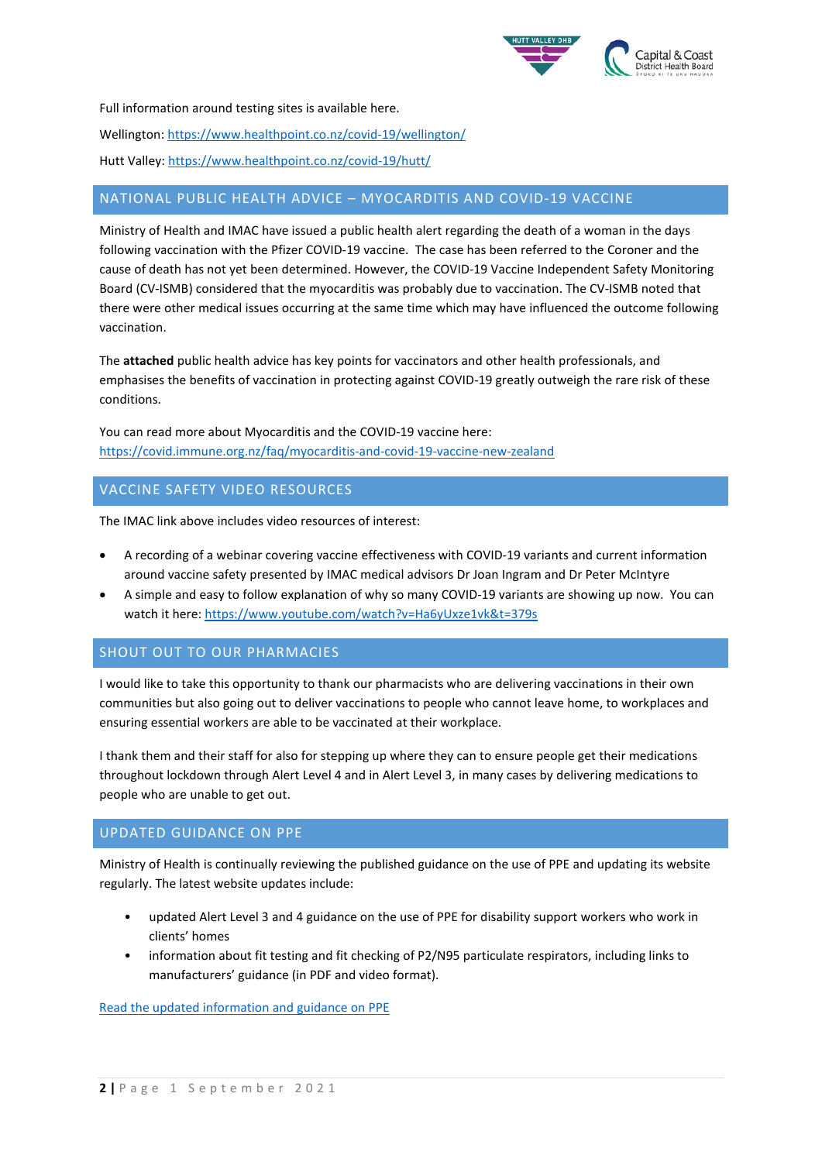

Full information around testing sites is available here.

Wellington[: https://www.healthpoint.co.nz/covid-19/wellington/](https://www.healthpoint.co.nz/covid-19/wellington/)

Hutt Valley:<https://www.healthpoint.co.nz/covid-19/hutt/>

## NATIONAL PUBLIC HEALTH ADVICE – MYOCARDITIS AND COVID-19 VACCINE

Ministry of Health and IMAC have issued a public health alert regarding the death of a woman in the days following vaccination with the Pfizer COVID-19 vaccine. The case has been referred to the Coroner and the cause of death has not yet been determined. However, the COVID-19 Vaccine Independent Safety Monitoring Board (CV-ISMB) considered that the myocarditis was probably due to vaccination. The CV-ISMB noted that there were other medical issues occurring at the same time which may have influenced the outcome following vaccination.

The **attached** public health advice has key points for vaccinators and other health professionals, and emphasises the benefits of vaccination in protecting against COVID-19 greatly outweigh the rare risk of these conditions.

You can read more about Myocarditis and the COVID-19 vaccine here: <https://covid.immune.org.nz/faq/myocarditis-and-covid-19-vaccine-new-zealand>

### VACCINE SAFETY VIDEO RESOURCES

The IMAC link above includes video resources of interest:

- A recording of a webinar covering vaccine effectiveness with COVID-19 variants and current information around vaccine safety presented by IMAC medical advisors Dr Joan Ingram and Dr Peter McIntyre
- A simple and easy to follow explanation of why so many COVID-19 variants are showing up now. You can watch it here[: https://www.youtube.com/watch?v=Ha6yUxze1vk&t=379s](https://www.youtube.com/watch?v=Ha6yUxze1vk&t=379s)

#### SHOUT OUT TO OUR PHARMACIES

I would like to take this opportunity to thank our pharmacists who are delivering vaccinations in their own communities but also going out to deliver vaccinations to people who cannot leave home, to workplaces and ensuring essential workers are able to be vaccinated at their workplace.

I thank them and their staff for also for stepping up where they can to ensure people get their medications throughout lockdown through Alert Level 4 and in Alert Level 3, in many cases by delivering medications to people who are unable to get out.

#### UPDATED GUIDANCE ON PPE

Ministry of Health is continually reviewing the published guidance on the use of PPE and updating its website regularly. The latest website updates include:

- updated Alert Level 3 and 4 guidance on the use of PPE for disability support workers who work in clients' homes
- information about fit testing and fit checking of P2/N95 particulate respirators, including links to manufacturers' guidance (in PDF and video format).

[Read the updated information and guidance on PPE](https://www.health.govt.nz/our-work/diseases-and-conditions/covid-19-novel-coronavirus/covid-19-information-specific-audiences/covid-19-personal-protective-equipment-central-supply/personal-protective-equipment-use-health-and-disability-care-settings)